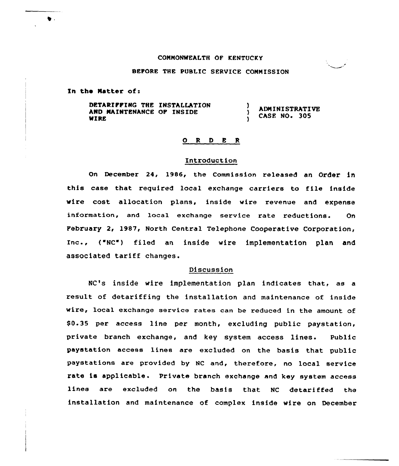## COMMONWEALTH OF KENTUCKY

# BEPORE THE PUBLIC SERVICE COMMISSION

Zn the Natter of:

 $\bullet$  .

DETARIFFING THE INSTALLATION  $\mathbf{I}$ ADM I<sup>N</sup> ISTRATI VE AND MAINTENANCE OP INSIDE  $\lambda$ CASE NO. 305 MIRE  $\mathbf{A}$ 

## 0 <sup>R</sup> <sup>D</sup> <sup>E</sup> <sup>R</sup>

## Introduction

On December 24, 1986, the Commission released an Order in this case that required local exchange carriers to file inside wire cost allocation plans, inside wire revenue and expense information, and local exchange service rate reductions. On Pebruary 2, 1987, North Central Telephone Cooperative Corporation, Inc., ("NC") filed an inside wire implementation plan and associated tariff changes.

#### Discussion

NC's inside wire implementation plan indicates that, as a result of detariffing the installation and maintenance of inside wire, local exchange service rates can be reduced in the amount of \$0.35 per access line per month, excluding public paystation, private branch exchange, and key system access lines. Public paystation access linea are excluded on the basis that public paystations are provided by NC and, therefore, no local service rate is applicable. Private branch exchange and key system access lines are excluded on the basis that NC detariffed the installation and maintenance of complex inside wire on December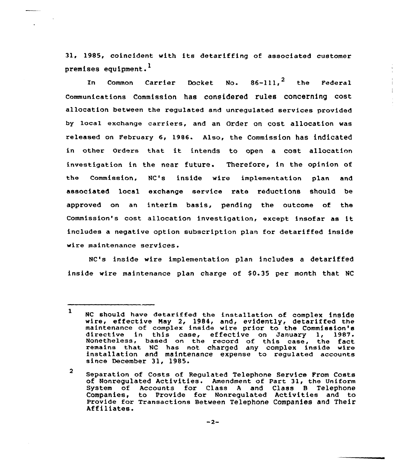31, 1985, coincident with its detariffing of associated customer premises equipment.

In Common Carrier Docket No.  $86-111,^2$  the Federal communications Commission has considered rules concerning cost allocation between the regulated and unregulated services provided by 1ocal exchange carriers, and an Order on cost allocation was released on February 6, 1986. Also, the Commission has indicated in other orders that it intends to open <sup>a</sup> cost allocatinn investigation in the near future. Therefore, in the opinion of the Commission, NC's inside wire implementation plan and associated local exchange service rate reductions should be approved on an interim basis, pending the outcome of the Commission's cost allocation investigation, except insofar as it includes a negative option subscription plan for detariffed inside wire maintenance services.

NC's inside wire implementation plan includes a detariffed inside wire maintenance plan charge of \$0.35 per month that NC

 $\mathbf{1}$ NC should have detariffed the installation of complex inside<br>wire, effective May 2, 1984, and, evidently, detariffed the<br>maintenance of complex inside wire prior to the Commission's maintenance of complex inside wire prior to the Commission's directive in this case, effective on January 1, 1987. Nonetheless, based on the record of this case, the fact remains that NC has not charged any complex inside wire installation and maintenance expense to regulated accounts installation and maintenance expense to regulated accounts<br>since December 31, 1985.

 $\overline{2}$ Separation of Costs of Regulated Telephone Service From Costs of Nonregulated Activities. Amendment of Part 31, the Uniform System of Accounts for Class A and Class B Telephon Companies, to Provide for Nonregulated Activities and to Provide for Transactions Between Telephone Companies and Their<br>Affiliates.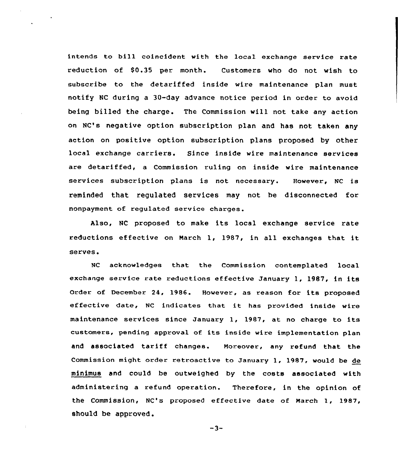intends to bill coincident with the local exchange service rate reduction of \$0.35 per month. Customers who do not wish to subscribe to the detariffed inside wire maintenance plan must notify NC during a 30-day advance notice period in ozder to avoid being billed the charge. The Commission will not take any action on NC's negative option subscription plan and has not taken any action on positive option subscription plans proposed by other local exchange carriers. Since inside wire maintenance services are detariffed, a Commission ruling on inside wire maintenance services subscription plans is not necessazy. Howevez, NC is reminded that regulated services may not he disconnected foz nonpayment of regulated service charges.

Also, NC proposed to make its local exchange service rate reductions effective on March 1, 1987, in all exchanges that it serves.

NC acknowledges that the Commission contemplated local exchange service rate reductions effective January 1, 1987, in its Order of December 24, 1986. However, as reason for its proposed effective date, NC indicates that it has provided inside wire maintenance services since January 1, 1987, at no charge to its customers, pending approval of its inside wire implementation plan and associated tariff changes. Moreover, any refund that the Commission might order retroactive to January 1, 1987, would be de minimus and could be outweighed by the costs associated with administering a zefund operation. Therefoze, in the opinion of the Commission, NC's proposed effective date of March 1, 1987, should be approved.

 $-3-$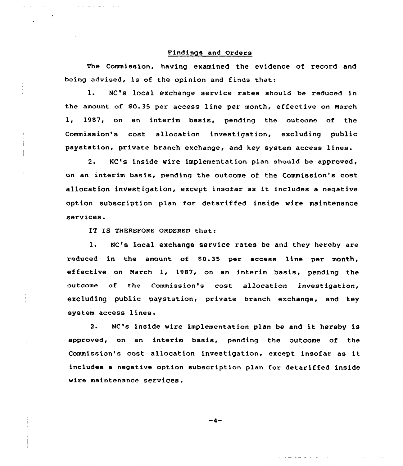#### Findings and Orders

The Commission, having examined the evidence of record and being advised, is of the opinion and finds that:

l. NC's local exchange service rates should be reduced in the amount of 80.35 per access line per month, effective on Narch 1, 1987, on an interim basis, pending the outcome of the Commission's cost allocation investigation, excluding public paystation, private branch exchange, and key system access lines.

2. NC's inside wire implementation plan should be apprcved, on an interim basis, pending the outcome of the Commission's cost allocation investigation, except insofar as it includes <sup>a</sup> negative option subscription plan for detariffed inside wire maintenance services.

IT IS THEREFORE ORDERED that:

1. NC's local exchange service rates be and they hereby are reduced in the amount of \$0.35 per access line per month, effective on March 1, 1987, on an interim basis, pending the outcome of the Commission's cost allocation investigation, excluding public paystation, private branch exchange, and key system access lines.

2. NC's inside wire implementation plan be and it hereby is approved, on an interim basis, pending the outcome of the Commission's cost allocation investigation, except insofar as it includes a negative option subscription plan for detariffed inside wire maintenance services.

-4-